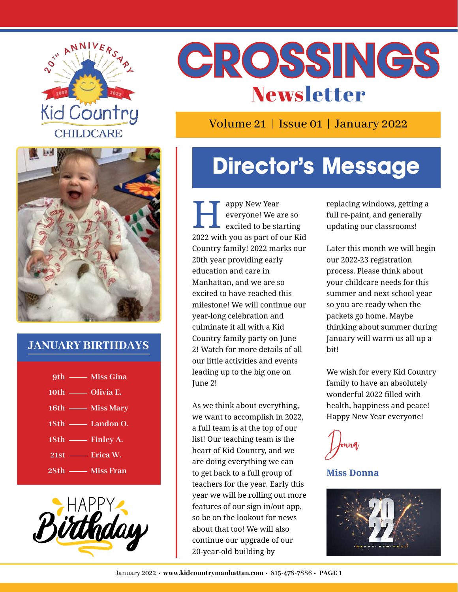



Volume 21 | Issue 01 | January 2022



#### **JANUARY BIRTHDAYS**

| 9th — Miss Gina  |
|------------------|
| 10th — Olivia E. |
| 16th — Miss Mary |
| 18th — Landon O. |
| 18th - Finley A. |
| 21st — Erica W.  |
| 28th - Miss Fran |



# **Director's Message**

appy New Year everyone! We are so<br>excited to be starting 2022 with you as part of our Kid Country family! 2022 marks our 20th year providing early education and care in Manhattan, and we are so excited to have reached this milestone! We will continue our year-long celebration and culminate it all with a Kid Country family party on June 2! Watch for more details of all our little activities and events leading up to the big one on June 2!

As we think about everything, we want to accomplish in 2022, a full team is at the top of our list! Our teaching team is the heart of Kid Country, and we are doing everything we can to get back to a full group of teachers for the year. Early this year we will be rolling out more features of our sign in/out app, so be on the lookout for news about that too! We will also continue our upgrade of our 20-year-old building by

replacing windows, getting a full re-paint, and generally updating our classrooms!

Later this month we will begin our 2022-23 registration process. Please think about your childcare needs for this summer and next school year so you are ready when the packets go home. Maybe thinking about summer during January will warm us all up a bit!

We wish for every Kid Country family to have an absolutely wonderful 2022 filled with health, happiness and peace! Happy New Year everyone!

Donna

**Miss Donna**

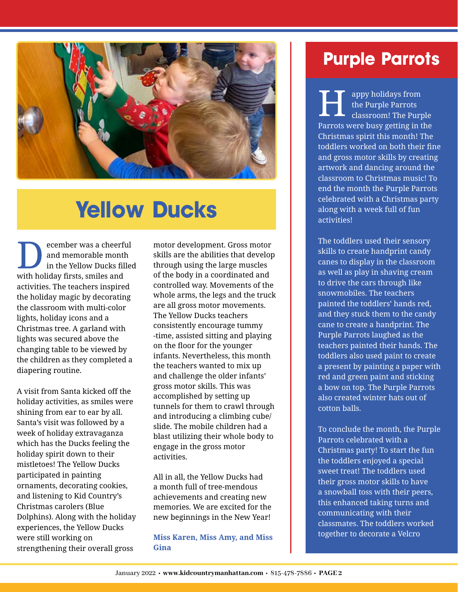

## **Yellow Ducks**

Example The Vellow Ducks films the Vellow Ducks films with holiday firsts, smiles and activities. The teachers inspired the holiday magic by decorating the classroom with multi-color lights, holiday icons and a Christmas tree. A garland with lights was secured above the changing table to be viewed by the children as they completed a diapering routine. ecember was a cheerful and memorable month in the Yellow Ducks filled

A visit from Santa kicked off the holiday activities, as smiles were shining from ear to ear by all. Santa's visit was followed by a week of holiday extravaganza which has the Ducks feeling the holiday spirit down to their mistletoes! The Yellow Ducks participated in painting ornaments, decorating cookies, and listening to Kid Country's Christmas carolers (Blue Dolphins). Along with the holiday experiences, the Yellow Ducks were still working on strengthening their overall gross

motor development. Gross motor skills are the abilities that develop through using the large muscles of the body in a coordinated and controlled way. Movements of the whole arms, the legs and the truck are all gross motor movements. The Yellow Ducks teachers consistently encourage tummy -time, assisted sitting and playing on the floor for the younger infants. Nevertheless, this month the teachers wanted to mix up and challenge the older infants' gross motor skills. This was accomplished by setting up tunnels for them to crawl through and introducing a climbing cube/ slide. The mobile children had a blast utilizing their whole body to engage in the gross motor activities.

All in all, the Yellow Ducks had a month full of tree-mendous achievements and creating new memories. We are excited for the new beginnings in the New Year!

**Miss Karen, Miss Amy, and Miss Gina**

### **Purple Parrots**

Parrots were busy getting in the Christmas spirit this month! The toddlers worked on both their fine and gross motor skills by creating artwork and dancing around the classroom to Christmas music! To end the month the Purple Parrots celebrated with a Christmas party along with a week full of fun activities! appy holidays from the Purple Parrots classroom! The Purple H

The toddlers used their sensory skills to create handprint candy canes to display in the classroom as well as play in shaving cream to drive the cars through like snowmobiles. The teachers painted the toddlers' hands red, and they stuck them to the candy cane to create a handprint. The Purple Parrots laughed as the teachers painted their hands. The toddlers also used paint to create a present by painting a paper with red and green paint and sticking a bow on top. The Purple Parrots also created winter hats out of cotton balls.

To conclude the month, the Purple Parrots celebrated with a Christmas party! To start the fun the toddlers enjoyed a special sweet treat! The toddlers used their gross motor skills to have a snowball toss with their peers, this enhanced taking turns and communicating with their classmates. The toddlers worked together to decorate a Velcro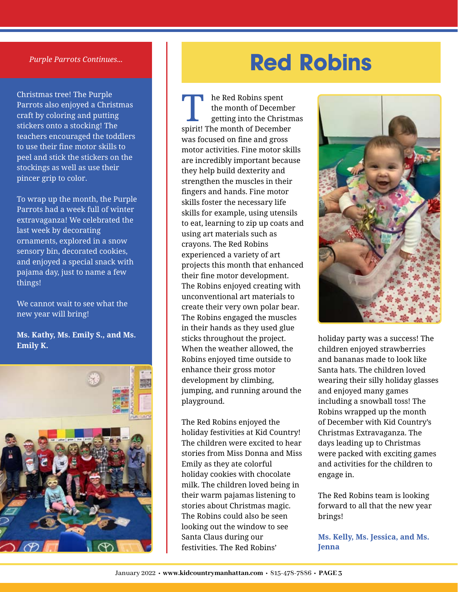#### *Purple Parrots Continues...*

Christmas tree! The Purple Parrots also enjoyed a Christmas craft by coloring and putting stickers onto a stocking! The teachers encouraged the toddlers to use their fine motor skills to peel and stick the stickers on the stockings as well as use their pincer grip to color.

To wrap up the month, the Purple Parrots had a week full of winter extravaganza! We celebrated the last week by decorating ornaments, explored in a snow sensory bin, decorated cookies, and enjoyed a special snack with pajama day, just to name a few things!

We cannot wait to see what the new year will bring!

**Ms. Kathy, Ms. Emily S., and Ms. Emily K.**



## **Red Robins**

spirit! The month of December was focused on fine and gross motor activities. Fine motor skills are incredibly important because they help build dexterity and strengthen the muscles in their fingers and hands. Fine motor skills foster the necessary life skills for example, using utensils to eat, learning to zip up coats and using art materials such as crayons. The Red Robins experienced a variety of art projects this month that enhanced their fine motor development. The Robins enjoyed creating with unconventional art materials to create their very own polar bear. The Robins engaged the muscles in their hands as they used glue sticks throughout the project. When the weather allowed, the Robins enjoyed time outside to enhance their gross motor development by climbing, jumping, and running around the playground. he Red Robins spent the month of December<br>getting into the Christmas

The Red Robins enjoyed the holiday festivities at Kid Country! The children were excited to hear stories from Miss Donna and Miss Emily as they ate colorful holiday cookies with chocolate milk. The children loved being in their warm pajamas listening to stories about Christmas magic. The Robins could also be seen looking out the window to see Santa Claus during our festivities. The Red Robins'



holiday party was a success! The children enjoyed strawberries and bananas made to look like Santa hats. The children loved wearing their silly holiday glasses and enjoyed many games including a snowball toss! The Robins wrapped up the month of December with Kid Country's Christmas Extravaganza. The days leading up to Christmas were packed with exciting games and activities for the children to engage in.

The Red Robins team is looking forward to all that the new year brings!

**Ms. Kelly, Ms. Jessica, and Ms. Jenna**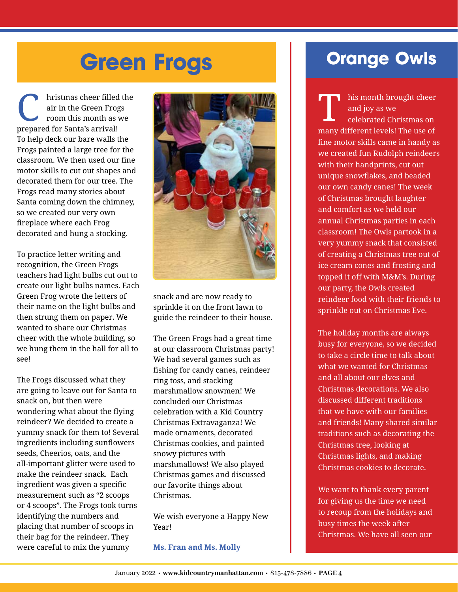# **Green Frogs**

prepared for Santa's arrival! To help deck our bare walls the Frogs painted a large tree for the classroom. We then used our fine motor skills to cut out shapes and decorated them for our tree. The Frogs read many stories about Santa coming down the chimney, so we created our very own fireplace where each Frog decorated and hung a stocking. hristmas cheer filled the air in the Green Frogs room this month as we

To practice letter writing and recognition, the Green Frogs teachers had light bulbs cut out to create our light bulbs names. Each Green Frog wrote the letters of their name on the light bulbs and then strung them on paper. We wanted to share our Christmas cheer with the whole building, so we hung them in the hall for all to see!

The Frogs discussed what they are going to leave out for Santa to snack on, but then were wondering what about the flying reindeer? We decided to create a yummy snack for them to! Several ingredients including sunflowers seeds, Cheerios, oats, and the all-important glitter were used to make the reindeer snack. Each ingredient was given a specific measurement such as "2 scoops or 4 scoops". The Frogs took turns identifying the numbers and placing that number of scoops in their bag for the reindeer. They were careful to mix the yummy



snack and are now ready to sprinkle it on the front lawn to guide the reindeer to their house.

The Green Frogs had a great time at our classroom Christmas party! We had several games such as fishing for candy canes, reindeer ring toss, and stacking marshmallow snowmen! We concluded our Christmas celebration with a Kid Country Christmas Extravaganza! We made ornaments, decorated Christmas cookies, and painted snowy pictures with marshmallows! We also played Christmas games and discussed our favorite things about Christmas.

We wish everyone a Happy New Year!

#### **Ms. Fran and Ms. Molly**

### **Orange Owls**

many different levels! The use of fine motor skills came in handy as we created fun Rudolph reindeers with their handprints, cut out unique snowflakes, and beaded our own candy canes! The week of Christmas brought laughter and comfort as we held our annual Christmas parties in each classroom! The Owls partook in a very yummy snack that consisted of creating a Christmas tree out of ice cream cones and frosting and topped it off with M&M's. During our party, the Owls created reindeer food with their friends to sprinkle out on Christmas Eve. his month brought cheer

The holiday months are always busy for everyone, so we decided to take a circle time to talk about what we wanted for Christmas and all about our elves and Christmas decorations. We also discussed different traditions that we have with our families and friends! Many shared similar traditions such as decorating the Christmas tree, looking at Christmas lights, and making Christmas cookies to decorate.

We want to thank every parent for giving us the time we need to recoup from the holidays and busy times the week after Christmas. We have all seen our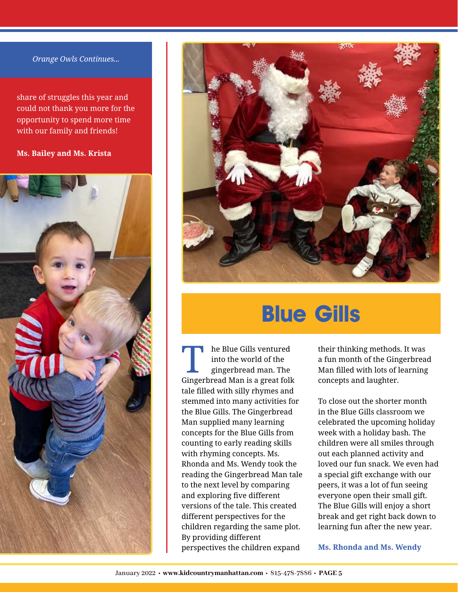#### *Orange Owls Continues...*

share of struggles this year and could not thank you more for the opportunity to spend more time with our family and friends!

**Ms. Bailey and Ms. Krista**





## **Blue Gills**

Gingerbread Man is a great folk tale filled with silly rhymes and stemmed into many activities for the Blue Gills. The Gingerbread Man supplied many learning concepts for the Blue Gills from counting to early reading skills with rhyming concepts. Ms. Rhonda and Ms. Wendy took the reading the Gingerbread Man tale to the next level by comparing and exploring five different versions of the tale. This created different perspectives for the children regarding the same plot. By providing different perspectives the children expand he Blue Gills ventured into the world of the<br>gingerbread man. The

their thinking methods. It was a fun month of the Gingerbread Man filled with lots of learning concepts and laughter.

To close out the shorter month in the Blue Gills classroom we celebrated the upcoming holiday week with a holiday bash. The children were all smiles through out each planned activity and loved our fun snack. We even had a special gift exchange with our peers, it was a lot of fun seeing everyone open their small gift. The Blue Gills will enjoy a short break and get right back down to learning fun after the new year.

**Ms. Rhonda and Ms. Wendy**